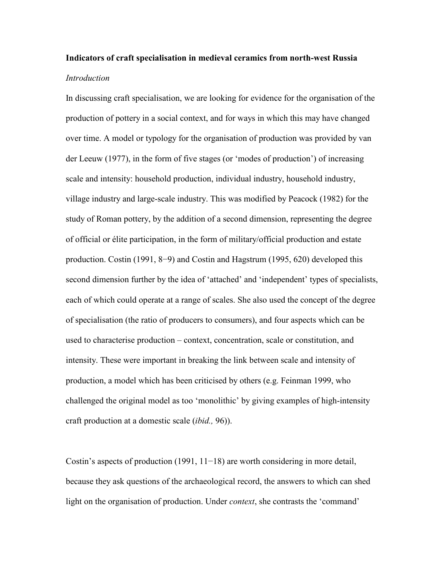# Indicators of craft specialisation in medieval ceramics from north-west Russia Introduction

In discussing craft specialisation, we are looking for evidence for the organisation of the production of pottery in a social context, and for ways in which this may have changed over time. A model or typology for the organisation of production was provided by van der Leeuw (1977), in the form of five stages (or 'modes of production') of increasing scale and intensity: household production, individual industry, household industry, village industry and large-scale industry. This was modified by Peacock (1982) for the study of Roman pottery, by the addition of a second dimension, representing the degree of official or élite participation, in the form of military/official production and estate production. Costin (1991, 8−9) and Costin and Hagstrum (1995, 620) developed this second dimension further by the idea of 'attached' and 'independent' types of specialists, each of which could operate at a range of scales. She also used the concept of the degree of specialisation (the ratio of producers to consumers), and four aspects which can be used to characterise production – context, concentration, scale or constitution, and intensity. These were important in breaking the link between scale and intensity of production, a model which has been criticised by others (e.g. Feinman 1999, who challenged the original model as too 'monolithic' by giving examples of high-intensity craft production at a domestic scale (ibid., 96)).

Costin's aspects of production (1991, 11−18) are worth considering in more detail, because they ask questions of the archaeological record, the answers to which can shed light on the organisation of production. Under *context*, she contrasts the 'command'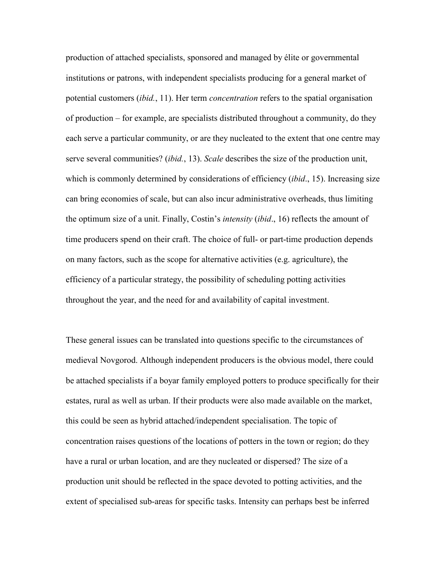production of attached specialists, sponsored and managed by élite or governmental institutions or patrons, with independent specialists producing for a general market of potential customers *(ibid., 11)*. Her term *concentration* refers to the spatial organisation of production – for example, are specialists distributed throughout a community, do they each serve a particular community, or are they nucleated to the extent that one centre may serve several communities? *(ibid., 13). Scale* describes the size of the production unit, which is commonly determined by considerations of efficiency (*ibid.*, 15). Increasing size can bring economies of scale, but can also incur administrative overheads, thus limiting the optimum size of a unit. Finally, Costin's *intensity (ibid.*, 16) reflects the amount of time producers spend on their craft. The choice of full- or part-time production depends on many factors, such as the scope for alternative activities (e.g. agriculture), the efficiency of a particular strategy, the possibility of scheduling potting activities throughout the year, and the need for and availability of capital investment.

These general issues can be translated into questions specific to the circumstances of medieval Novgorod. Although independent producers is the obvious model, there could be attached specialists if a boyar family employed potters to produce specifically for their estates, rural as well as urban. If their products were also made available on the market, this could be seen as hybrid attached/independent specialisation. The topic of concentration raises questions of the locations of potters in the town or region; do they have a rural or urban location, and are they nucleated or dispersed? The size of a production unit should be reflected in the space devoted to potting activities, and the extent of specialised sub-areas for specific tasks. Intensity can perhaps best be inferred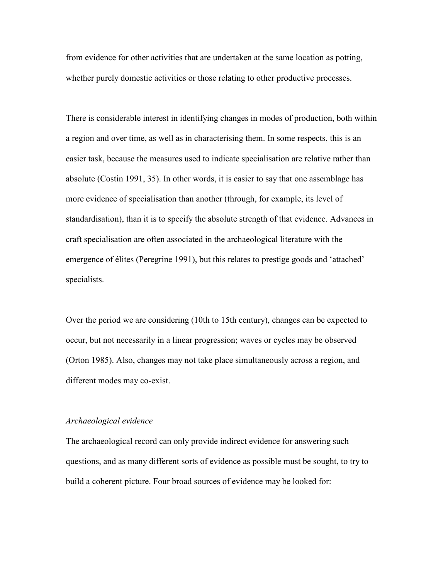from evidence for other activities that are undertaken at the same location as potting, whether purely domestic activities or those relating to other productive processes.

There is considerable interest in identifying changes in modes of production, both within a region and over time, as well as in characterising them. In some respects, this is an easier task, because the measures used to indicate specialisation are relative rather than absolute (Costin 1991, 35). In other words, it is easier to say that one assemblage has more evidence of specialisation than another (through, for example, its level of standardisation), than it is to specify the absolute strength of that evidence. Advances in craft specialisation are often associated in the archaeological literature with the emergence of élites (Peregrine 1991), but this relates to prestige goods and 'attached' specialists.

Over the period we are considering (10th to 15th century), changes can be expected to occur, but not necessarily in a linear progression; waves or cycles may be observed (Orton 1985). Also, changes may not take place simultaneously across a region, and different modes may co-exist.

## Archaeological evidence

The archaeological record can only provide indirect evidence for answering such questions, and as many different sorts of evidence as possible must be sought, to try to build a coherent picture. Four broad sources of evidence may be looked for: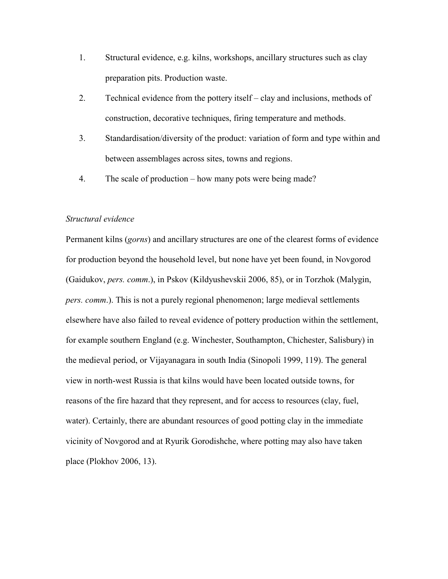- 1. Structural evidence, e.g. kilns, workshops, ancillary structures such as clay preparation pits. Production waste.
- 2. Technical evidence from the pottery itself clay and inclusions, methods of construction, decorative techniques, firing temperature and methods.
- 3. Standardisation/diversity of the product: variation of form and type within and between assemblages across sites, towns and regions.
- 4. The scale of production how many pots were being made?

# Structural evidence

Permanent kilns (gorns) and ancillary structures are one of the clearest forms of evidence for production beyond the household level, but none have yet been found, in Novgorod (Gaidukov, pers. comm.), in Pskov (Kildyushevskii 2006, 85), or in Torzhok (Malygin, pers. comm.). This is not a purely regional phenomenon; large medieval settlements elsewhere have also failed to reveal evidence of pottery production within the settlement, for example southern England (e.g. Winchester, Southampton, Chichester, Salisbury) in the medieval period, or Vijayanagara in south India (Sinopoli 1999, 119). The general view in north-west Russia is that kilns would have been located outside towns, for reasons of the fire hazard that they represent, and for access to resources (clay, fuel, water). Certainly, there are abundant resources of good potting clay in the immediate vicinity of Novgorod and at Ryurik Gorodishche, where potting may also have taken place (Plokhov 2006, 13).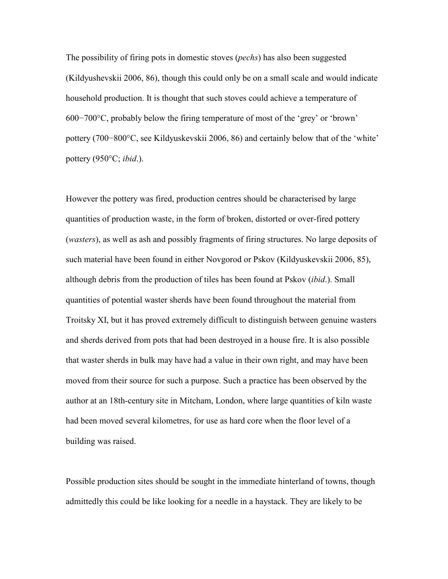The possibility of firing pots in domestic stoves (*pechs*) has also been suggested (Kildyushevskii 2006, 86), though this could only be on a small scale and would indicate household production. It is thought that such stoves could achieve a temperature of 600−700°C, probably below the firing temperature of most of the 'grey' or 'brown' pottery (700−800°C, see Kildyuskevskii 2006, 86) and certainly below that of the 'white' pottery (950°C; ibid.).

However the pottery was fired, production centres should be characterised by large quantities of production waste, in the form of broken, distorted or over-fired pottery (wasters), as well as ash and possibly fragments of firing structures. No large deposits of such material have been found in either Novgorod or Pskov (Kildyuskevskii 2006, 85), although debris from the production of tiles has been found at Pskov *(ibid.)*. Small quantities of potential waster sherds have been found throughout the material from Troitsky XI, but it has proved extremely difficult to distinguish between genuine wasters and sherds derived from pots that had been destroyed in a house fire. It is also possible that waster sherds in bulk may have had a value in their own right, and may have been moved from their source for such a purpose. Such a practice has been observed by the author at an 18th-century site in Mitcham, London, where large quantities of kiln waste had been moved several kilometres, for use as hard core when the floor level of a building was raised.

Possible production sites should be sought in the immediate hinterland of towns, though admittedly this could be like looking for a needle in a haystack. They are likely to be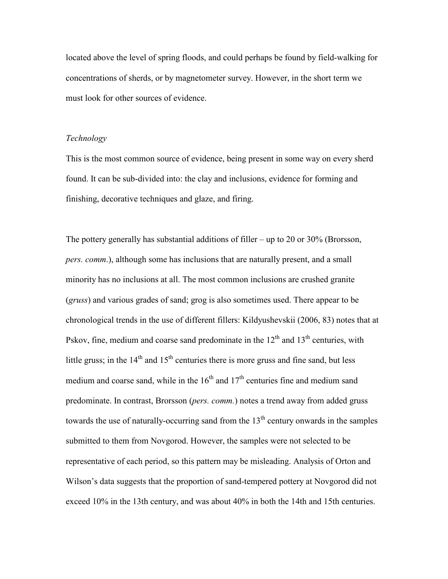located above the level of spring floods, and could perhaps be found by field-walking for concentrations of sherds, or by magnetometer survey. However, in the short term we must look for other sources of evidence.

## Technology

This is the most common source of evidence, being present in some way on every sherd found. It can be sub-divided into: the clay and inclusions, evidence for forming and finishing, decorative techniques and glaze, and firing.

The pottery generally has substantial additions of filler – up to 20 or 30% (Brorsson, pers. comm.), although some has inclusions that are naturally present, and a small minority has no inclusions at all. The most common inclusions are crushed granite (gruss) and various grades of sand; grog is also sometimes used. There appear to be chronological trends in the use of different fillers: Kildyushevskii (2006, 83) notes that at Pskov, fine, medium and coarse sand predominate in the  $12<sup>th</sup>$  and  $13<sup>th</sup>$  centuries, with little gruss; in the  $14<sup>th</sup>$  and  $15<sup>th</sup>$  centuries there is more gruss and fine sand, but less medium and coarse sand, while in the  $16<sup>th</sup>$  and  $17<sup>th</sup>$  centuries fine and medium sand predominate. In contrast, Brorsson (pers. comm.) notes a trend away from added gruss towards the use of naturally-occurring sand from the  $13<sup>th</sup>$  century onwards in the samples submitted to them from Novgorod. However, the samples were not selected to be representative of each period, so this pattern may be misleading. Analysis of Orton and Wilson's data suggests that the proportion of sand-tempered pottery at Novgorod did not exceed 10% in the 13th century, and was about 40% in both the 14th and 15th centuries.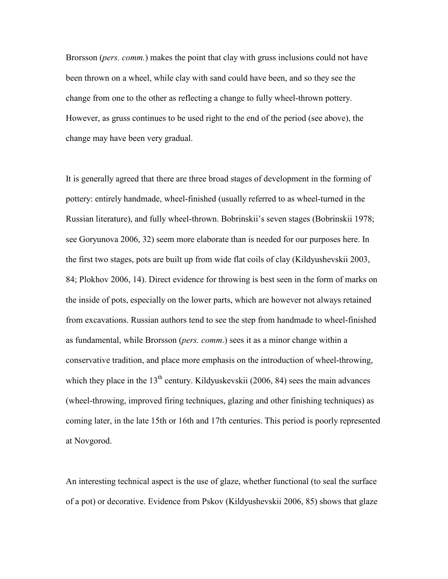Brorsson (*pers. comm.*) makes the point that clay with gruss inclusions could not have been thrown on a wheel, while clay with sand could have been, and so they see the change from one to the other as reflecting a change to fully wheel-thrown pottery. However, as gruss continues to be used right to the end of the period (see above), the change may have been very gradual.

It is generally agreed that there are three broad stages of development in the forming of pottery: entirely handmade, wheel-finished (usually referred to as wheel-turned in the Russian literature), and fully wheel-thrown. Bobrinskii's seven stages (Bobrinskii 1978; see Goryunova 2006, 32) seem more elaborate than is needed for our purposes here. In the first two stages, pots are built up from wide flat coils of clay (Kildyushevskii 2003, 84; Plokhov 2006, 14). Direct evidence for throwing is best seen in the form of marks on the inside of pots, especially on the lower parts, which are however not always retained from excavations. Russian authors tend to see the step from handmade to wheel-finished as fundamental, while Brorsson (*pers. comm.*) sees it as a minor change within a conservative tradition, and place more emphasis on the introduction of wheel-throwing, which they place in the  $13<sup>th</sup>$  century. Kildyuskevskii (2006, 84) sees the main advances (wheel-throwing, improved firing techniques, glazing and other finishing techniques) as coming later, in the late 15th or 16th and 17th centuries. This period is poorly represented at Novgorod.

An interesting technical aspect is the use of glaze, whether functional (to seal the surface of a pot) or decorative. Evidence from Pskov (Kildyushevskii 2006, 85) shows that glaze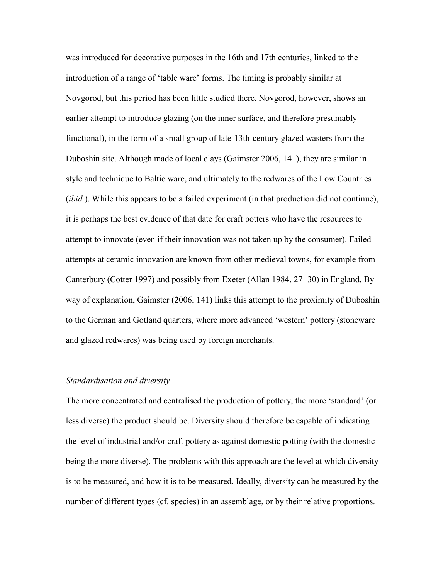was introduced for decorative purposes in the 16th and 17th centuries, linked to the introduction of a range of 'table ware' forms. The timing is probably similar at Novgorod, but this period has been little studied there. Novgorod, however, shows an earlier attempt to introduce glazing (on the inner surface, and therefore presumably functional), in the form of a small group of late-13th-century glazed wasters from the Duboshin site. Although made of local clays (Gaimster 2006, 141), they are similar in style and technique to Baltic ware, and ultimately to the redwares of the Low Countries (*ibid.*). While this appears to be a failed experiment (in that production did not continue), it is perhaps the best evidence of that date for craft potters who have the resources to attempt to innovate (even if their innovation was not taken up by the consumer). Failed attempts at ceramic innovation are known from other medieval towns, for example from Canterbury (Cotter 1997) and possibly from Exeter (Allan 1984, 27−30) in England. By way of explanation, Gaimster (2006, 141) links this attempt to the proximity of Duboshin to the German and Gotland quarters, where more advanced 'western' pottery (stoneware and glazed redwares) was being used by foreign merchants.

#### Standardisation and diversity

The more concentrated and centralised the production of pottery, the more 'standard' (or less diverse) the product should be. Diversity should therefore be capable of indicating the level of industrial and/or craft pottery as against domestic potting (with the domestic being the more diverse). The problems with this approach are the level at which diversity is to be measured, and how it is to be measured. Ideally, diversity can be measured by the number of different types (cf. species) in an assemblage, or by their relative proportions.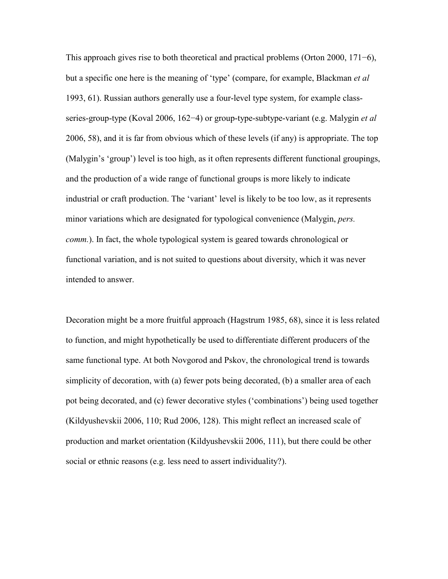This approach gives rise to both theoretical and practical problems (Orton 2000, 171−6), but a specific one here is the meaning of 'type' (compare, for example, Blackman *et al* 1993, 61). Russian authors generally use a four-level type system, for example classseries-group-type (Koval 2006, 162–4) or group-type-subtype-variant (e.g. Malygin *et al* 2006, 58), and it is far from obvious which of these levels (if any) is appropriate. The top (Malygin's 'group') level is too high, as it often represents different functional groupings, and the production of a wide range of functional groups is more likely to indicate industrial or craft production. The 'variant' level is likely to be too low, as it represents minor variations which are designated for typological convenience (Malygin, *pers.*) comm.). In fact, the whole typological system is geared towards chronological or functional variation, and is not suited to questions about diversity, which it was never intended to answer.

Decoration might be a more fruitful approach (Hagstrum 1985, 68), since it is less related to function, and might hypothetically be used to differentiate different producers of the same functional type. At both Novgorod and Pskov, the chronological trend is towards simplicity of decoration, with (a) fewer pots being decorated, (b) a smaller area of each pot being decorated, and (c) fewer decorative styles ('combinations') being used together (Kildyushevskii 2006, 110; Rud 2006, 128). This might reflect an increased scale of production and market orientation (Kildyushevskii 2006, 111), but there could be other social or ethnic reasons (e.g. less need to assert individuality?).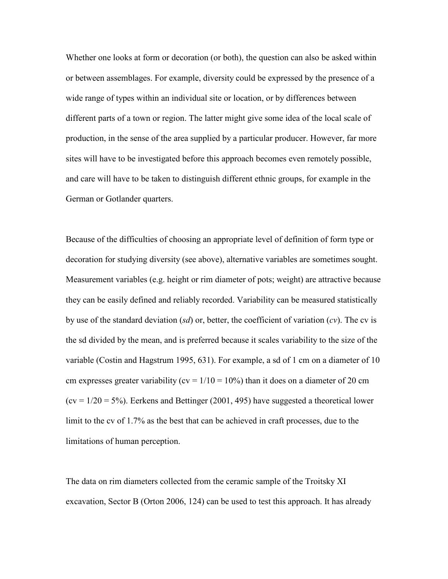Whether one looks at form or decoration (or both), the question can also be asked within or between assemblages. For example, diversity could be expressed by the presence of a wide range of types within an individual site or location, or by differences between different parts of a town or region. The latter might give some idea of the local scale of production, in the sense of the area supplied by a particular producer. However, far more sites will have to be investigated before this approach becomes even remotely possible, and care will have to be taken to distinguish different ethnic groups, for example in the German or Gotlander quarters.

Because of the difficulties of choosing an appropriate level of definition of form type or decoration for studying diversity (see above), alternative variables are sometimes sought. Measurement variables (e.g. height or rim diameter of pots; weight) are attractive because they can be easily defined and reliably recorded. Variability can be measured statistically by use of the standard deviation (sd) or, better, the coefficient of variation (cv). The cv is the sd divided by the mean, and is preferred because it scales variability to the size of the variable (Costin and Hagstrum 1995, 631). For example, a sd of 1 cm on a diameter of 10 cm expresses greater variability ( $cv = 1/10 = 10\%$ ) than it does on a diameter of 20 cm  $(cv = 1/20 = 5\%)$ . Eerkens and Bettinger (2001, 495) have suggested a theoretical lower limit to the cv of 1.7% as the best that can be achieved in craft processes, due to the limitations of human perception.

The data on rim diameters collected from the ceramic sample of the Troitsky XI excavation, Sector B (Orton 2006, 124) can be used to test this approach. It has already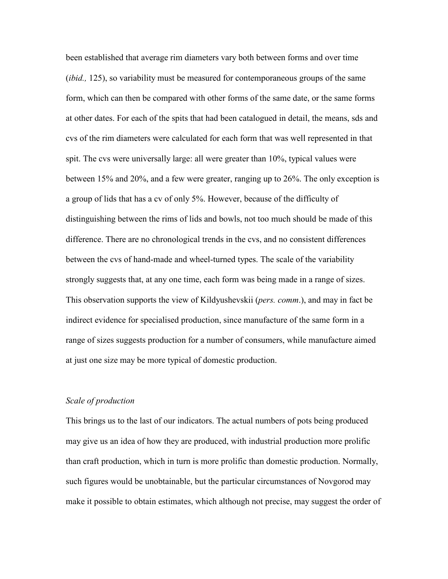been established that average rim diameters vary both between forms and over time (*ibid.*, 125), so variability must be measured for contemporaneous groups of the same form, which can then be compared with other forms of the same date, or the same forms at other dates. For each of the spits that had been catalogued in detail, the means, sds and cvs of the rim diameters were calculated for each form that was well represented in that spit. The cvs were universally large: all were greater than 10%, typical values were between 15% and 20%, and a few were greater, ranging up to 26%. The only exception is a group of lids that has a cv of only 5%. However, because of the difficulty of distinguishing between the rims of lids and bowls, not too much should be made of this difference. There are no chronological trends in the cvs, and no consistent differences between the cvs of hand-made and wheel-turned types. The scale of the variability strongly suggests that, at any one time, each form was being made in a range of sizes. This observation supports the view of Kildyushevskii (*pers. comm.*), and may in fact be indirect evidence for specialised production, since manufacture of the same form in a range of sizes suggests production for a number of consumers, while manufacture aimed at just one size may be more typical of domestic production.

## Scale of production

This brings us to the last of our indicators. The actual numbers of pots being produced may give us an idea of how they are produced, with industrial production more prolific than craft production, which in turn is more prolific than domestic production. Normally, such figures would be unobtainable, but the particular circumstances of Novgorod may make it possible to obtain estimates, which although not precise, may suggest the order of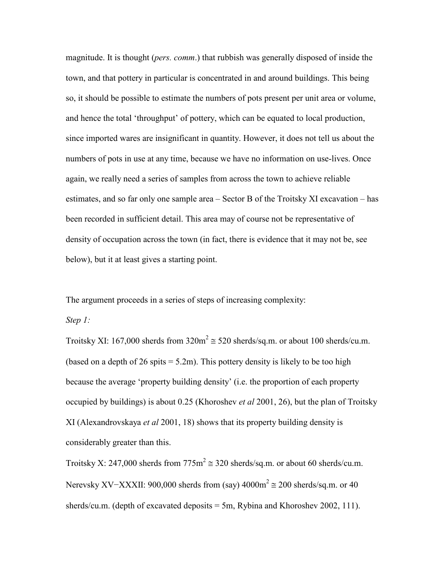magnitude. It is thought (*pers. comm.*) that rubbish was generally disposed of inside the town, and that pottery in particular is concentrated in and around buildings. This being so, it should be possible to estimate the numbers of pots present per unit area or volume, and hence the total 'throughput' of pottery, which can be equated to local production, since imported wares are insignificant in quantity. However, it does not tell us about the numbers of pots in use at any time, because we have no information on use-lives. Once again, we really need a series of samples from across the town to achieve reliable estimates, and so far only one sample area – Sector B of the Troitsky XI excavation – has been recorded in sufficient detail. This area may of course not be representative of density of occupation across the town (in fact, there is evidence that it may not be, see below), but it at least gives a starting point.

The argument proceeds in a series of steps of increasing complexity:

Step 1:

Troitsky XI: 167,000 sherds from  $320m^2 \approx 520$  sherds/sq.m. or about 100 sherds/cu.m. (based on a depth of 26 spits  $= 5.2$ m). This pottery density is likely to be too high because the average 'property building density' (i.e. the proportion of each property occupied by buildings) is about 0.25 (Khoroshev *et al* 2001, 26), but the plan of Troitsky XI (Alexandrovskaya et al 2001, 18) shows that its property building density is considerably greater than this.

Troitsky X: 247,000 sherds from  $775 \text{m}^2 \approx 320$  sherds/sq.m. or about 60 sherds/cu.m. Nerevsky XV–XXXII: 900,000 sherds from (say)  $4000m^2 \approx 200$  sherds/sq.m. or 40 sherds/cu.m. (depth of excavated deposits  $=$  5m, Rybina and Khoroshev 2002, 111).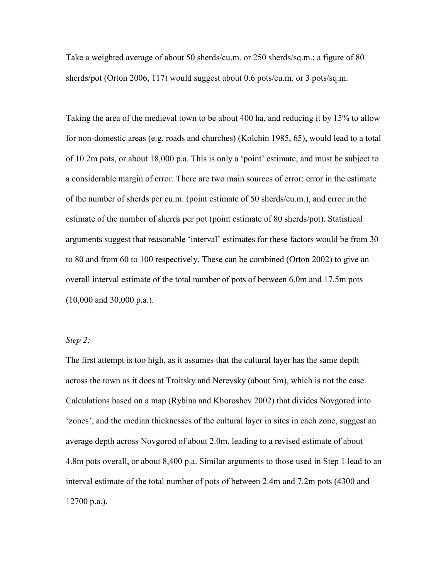Take a weighted average of about 50 sherds/cu.m. or 250 sherds/sq.m.; a figure of 80 sherds/pot (Orton 2006, 117) would suggest about 0.6 pots/cu.m. or 3 pots/sq.m.

Taking the area of the medieval town to be about 400 ha, and reducing it by 15% to allow for non-domestic areas (e.g. roads and churches) (Kolchin 1985, 65), would lead to a total of 10.2m pots, or about 18,000 p.a. This is only a 'point' estimate, and must be subject to a considerable margin of error. There are two main sources of error: error in the estimate of the number of sherds per cu.m. (point estimate of 50 sherds/cu.m.), and error in the estimate of the number of sherds per pot (point estimate of 80 sherds/pot). Statistical arguments suggest that reasonable 'interval' estimates for these factors would be from 30 to 80 and from 60 to 100 respectively. These can be combined (Orton 2002) to give an overall interval estimate of the total number of pots of between 6.0m and 17.5m pots (10,000 and 30,000 p.a.).

## Step 2:

The first attempt is too high, as it assumes that the cultural layer has the same depth across the town as it does at Troitsky and Nerevsky (about 5m), which is not the case. Calculations based on a map (Rybina and Khoroshev 2002) that divides Novgorod into 'zones', and the median thicknesses of the cultural layer in sites in each zone, suggest an average depth across Novgorod of about 2.0m, leading to a revised estimate of about 4.8m pots overall, or about 8,400 p.a. Similar arguments to those used in Step 1 lead to an interval estimate of the total number of pots of between 2.4m and 7.2m pots (4300 and 12700 p.a.).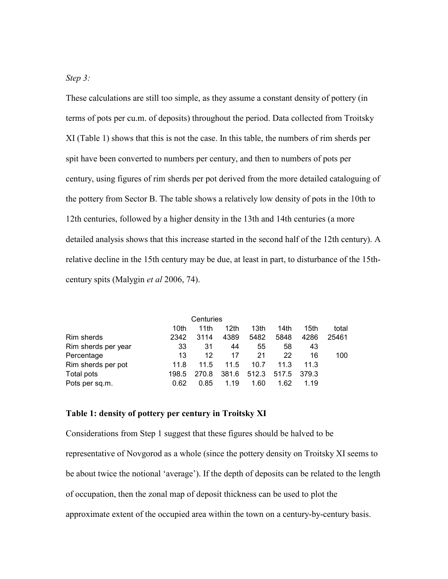# Step 3:

These calculations are still too simple, as they assume a constant density of pottery (in terms of pots per cu.m. of deposits) throughout the period. Data collected from Troitsky XI (Table 1) shows that this is not the case. In this table, the numbers of rim sherds per spit have been converted to numbers per century, and then to numbers of pots per century, using figures of rim sherds per pot derived from the more detailed cataloguing of the pottery from Sector B. The table shows a relatively low density of pots in the 10th to 12th centuries, followed by a higher density in the 13th and 14th centuries (a more detailed analysis shows that this increase started in the second half of the 12th century). A relative decline in the 15th century may be due, at least in part, to disturbance of the 15thcentury spits (Malygin et al 2006, 74).

|                     |       | Centuries |       |                  |       |                  |       |
|---------------------|-------|-----------|-------|------------------|-------|------------------|-------|
|                     | 10th  | 11th      | 12th  | 13 <sub>th</sub> | 14th  | 15 <sub>th</sub> | total |
| Rim sherds          | 2342  | 3114      | 4389  | 5482             | 5848  | 4286             | 25461 |
| Rim sherds per year | 33    | 31        | 44    | 55               | 58    | 43               |       |
| Percentage          | 13    | 12        | 17    | 21               | 22    | 16               | 100   |
| Rim sherds per pot  | 11.8  | 11.5      | 11.5  | 10.7             | 11.3  | 11.3             |       |
| Total pots          | 198.5 | 270.8     | 381.6 | 512.3            | 517.5 | 379.3            |       |
| Pots per sq.m.      | 0.62  | 0.85      | 1.19  | 1.60             | 1.62  | 1.19             |       |

## Table 1: density of pottery per century in Troitsky XI

Considerations from Step 1 suggest that these figures should be halved to be representative of Novgorod as a whole (since the pottery density on Troitsky XI seems to be about twice the notional 'average'). If the depth of deposits can be related to the length of occupation, then the zonal map of deposit thickness can be used to plot the approximate extent of the occupied area within the town on a century-by-century basis.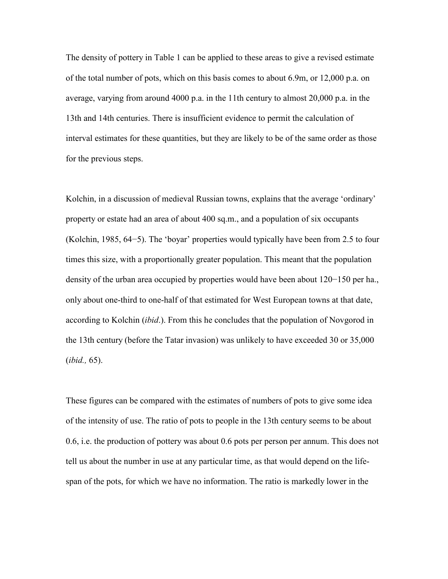The density of pottery in Table 1 can be applied to these areas to give a revised estimate of the total number of pots, which on this basis comes to about 6.9m, or 12,000 p.a. on average, varying from around 4000 p.a. in the 11th century to almost 20,000 p.a. in the 13th and 14th centuries. There is insufficient evidence to permit the calculation of interval estimates for these quantities, but they are likely to be of the same order as those for the previous steps.

Kolchin, in a discussion of medieval Russian towns, explains that the average 'ordinary' property or estate had an area of about 400 sq.m., and a population of six occupants (Kolchin, 1985, 64−5). The 'boyar' properties would typically have been from 2.5 to four times this size, with a proportionally greater population. This meant that the population density of the urban area occupied by properties would have been about 120−150 per ha., only about one-third to one-half of that estimated for West European towns at that date, according to Kolchin *(ibid.)*. From this he concludes that the population of Novgorod in the 13th century (before the Tatar invasion) was unlikely to have exceeded 30 or 35,000 (ibid., 65).

These figures can be compared with the estimates of numbers of pots to give some idea of the intensity of use. The ratio of pots to people in the 13th century seems to be about 0.6, i.e. the production of pottery was about 0.6 pots per person per annum. This does not tell us about the number in use at any particular time, as that would depend on the lifespan of the pots, for which we have no information. The ratio is markedly lower in the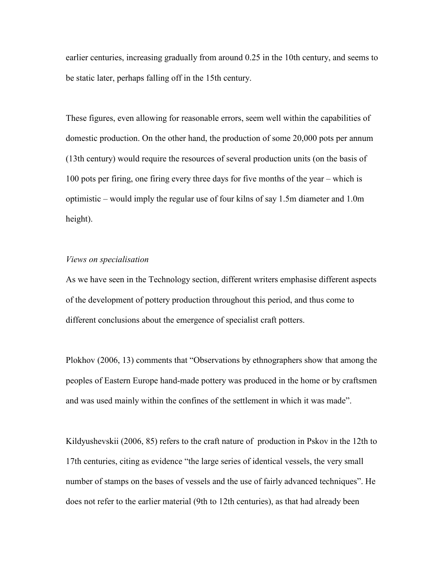earlier centuries, increasing gradually from around 0.25 in the 10th century, and seems to be static later, perhaps falling off in the 15th century.

These figures, even allowing for reasonable errors, seem well within the capabilities of domestic production. On the other hand, the production of some 20,000 pots per annum (13th century) would require the resources of several production units (on the basis of 100 pots per firing, one firing every three days for five months of the year – which is optimistic – would imply the regular use of four kilns of say 1.5m diameter and 1.0m height).

## Views on specialisation

As we have seen in the Technology section, different writers emphasise different aspects of the development of pottery production throughout this period, and thus come to different conclusions about the emergence of specialist craft potters.

Plokhov (2006, 13) comments that "Observations by ethnographers show that among the peoples of Eastern Europe hand-made pottery was produced in the home or by craftsmen and was used mainly within the confines of the settlement in which it was made".

Kildyushevskii (2006, 85) refers to the craft nature of production in Pskov in the 12th to 17th centuries, citing as evidence "the large series of identical vessels, the very small number of stamps on the bases of vessels and the use of fairly advanced techniques". He does not refer to the earlier material (9th to 12th centuries), as that had already been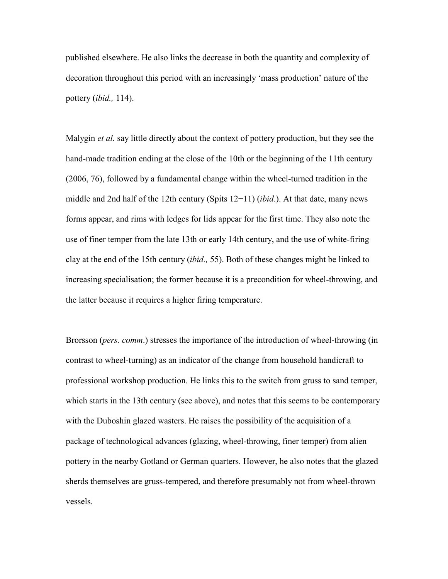published elsewhere. He also links the decrease in both the quantity and complexity of decoration throughout this period with an increasingly 'mass production' nature of the pottery (ibid., 114).

Malygin *et al.* say little directly about the context of pottery production, but they see the hand-made tradition ending at the close of the 10th or the beginning of the 11th century (2006, 76), followed by a fundamental change within the wheel-turned tradition in the middle and 2nd half of the 12th century (Spits 12−11) *(ibid.)*. At that date, many news forms appear, and rims with ledges for lids appear for the first time. They also note the use of finer temper from the late 13th or early 14th century, and the use of white-firing clay at the end of the 15th century (ibid., 55). Both of these changes might be linked to increasing specialisation; the former because it is a precondition for wheel-throwing, and the latter because it requires a higher firing temperature.

Brorsson (*pers. comm.*) stresses the importance of the introduction of wheel-throwing (in contrast to wheel-turning) as an indicator of the change from household handicraft to professional workshop production. He links this to the switch from gruss to sand temper, which starts in the 13th century (see above), and notes that this seems to be contemporary with the Duboshin glazed wasters. He raises the possibility of the acquisition of a package of technological advances (glazing, wheel-throwing, finer temper) from alien pottery in the nearby Gotland or German quarters. However, he also notes that the glazed sherds themselves are gruss-tempered, and therefore presumably not from wheel-thrown vessels.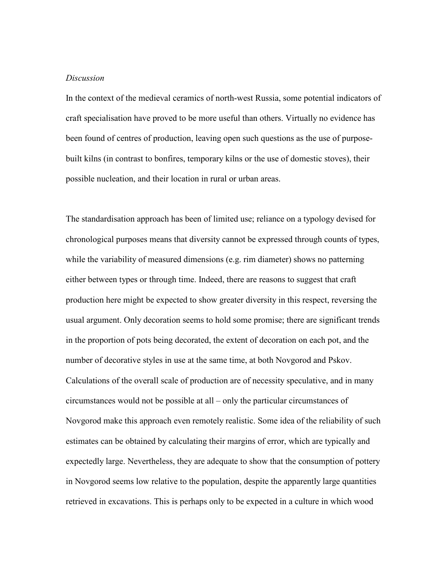#### **Discussion**

In the context of the medieval ceramics of north-west Russia, some potential indicators of craft specialisation have proved to be more useful than others. Virtually no evidence has been found of centres of production, leaving open such questions as the use of purposebuilt kilns (in contrast to bonfires, temporary kilns or the use of domestic stoves), their possible nucleation, and their location in rural or urban areas.

The standardisation approach has been of limited use; reliance on a typology devised for chronological purposes means that diversity cannot be expressed through counts of types, while the variability of measured dimensions (e.g. rim diameter) shows no patterning either between types or through time. Indeed, there are reasons to suggest that craft production here might be expected to show greater diversity in this respect, reversing the usual argument. Only decoration seems to hold some promise; there are significant trends in the proportion of pots being decorated, the extent of decoration on each pot, and the number of decorative styles in use at the same time, at both Novgorod and Pskov. Calculations of the overall scale of production are of necessity speculative, and in many circumstances would not be possible at all – only the particular circumstances of Novgorod make this approach even remotely realistic. Some idea of the reliability of such estimates can be obtained by calculating their margins of error, which are typically and expectedly large. Nevertheless, they are adequate to show that the consumption of pottery in Novgorod seems low relative to the population, despite the apparently large quantities retrieved in excavations. This is perhaps only to be expected in a culture in which wood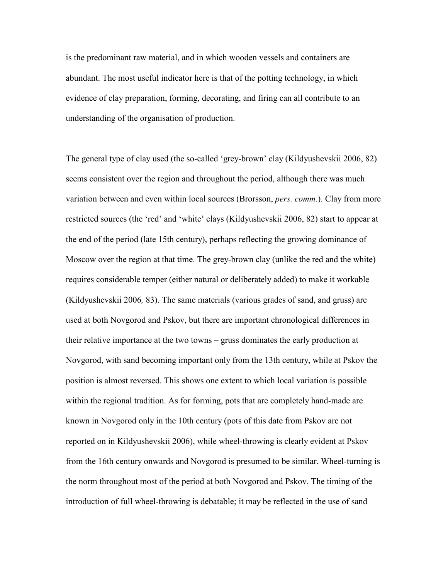is the predominant raw material, and in which wooden vessels and containers are abundant. The most useful indicator here is that of the potting technology, in which evidence of clay preparation, forming, decorating, and firing can all contribute to an understanding of the organisation of production.

The general type of clay used (the so-called 'grey-brown' clay (Kildyushevskii 2006, 82) seems consistent over the region and throughout the period, although there was much variation between and even within local sources (Brorsson, *pers. comm.*). Clay from more restricted sources (the 'red' and 'white' clays (Kildyushevskii 2006, 82) start to appear at the end of the period (late 15th century), perhaps reflecting the growing dominance of Moscow over the region at that time. The grey-brown clay (unlike the red and the white) requires considerable temper (either natural or deliberately added) to make it workable (Kildyushevskii 2006, 83). The same materials (various grades of sand, and gruss) are used at both Novgorod and Pskov, but there are important chronological differences in their relative importance at the two towns – gruss dominates the early production at Novgorod, with sand becoming important only from the 13th century, while at Pskov the position is almost reversed. This shows one extent to which local variation is possible within the regional tradition. As for forming, pots that are completely hand-made are known in Novgorod only in the 10th century (pots of this date from Pskov are not reported on in Kildyushevskii 2006), while wheel-throwing is clearly evident at Pskov from the 16th century onwards and Novgorod is presumed to be similar. Wheel-turning is the norm throughout most of the period at both Novgorod and Pskov. The timing of the introduction of full wheel-throwing is debatable; it may be reflected in the use of sand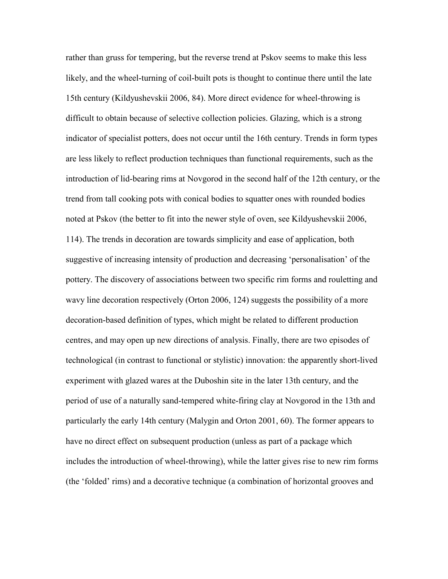rather than gruss for tempering, but the reverse trend at Pskov seems to make this less likely, and the wheel-turning of coil-built pots is thought to continue there until the late 15th century (Kildyushevskii 2006, 84). More direct evidence for wheel-throwing is difficult to obtain because of selective collection policies. Glazing, which is a strong indicator of specialist potters, does not occur until the 16th century. Trends in form types are less likely to reflect production techniques than functional requirements, such as the introduction of lid-bearing rims at Novgorod in the second half of the 12th century, or the trend from tall cooking pots with conical bodies to squatter ones with rounded bodies noted at Pskov (the better to fit into the newer style of oven, see Kildyushevskii 2006, 114). The trends in decoration are towards simplicity and ease of application, both suggestive of increasing intensity of production and decreasing 'personalisation' of the pottery. The discovery of associations between two specific rim forms and rouletting and wavy line decoration respectively (Orton 2006, 124) suggests the possibility of a more decoration-based definition of types, which might be related to different production centres, and may open up new directions of analysis. Finally, there are two episodes of technological (in contrast to functional or stylistic) innovation: the apparently short-lived experiment with glazed wares at the Duboshin site in the later 13th century, and the period of use of a naturally sand-tempered white-firing clay at Novgorod in the 13th and particularly the early 14th century (Malygin and Orton 2001, 60). The former appears to have no direct effect on subsequent production (unless as part of a package which includes the introduction of wheel-throwing), while the latter gives rise to new rim forms (the 'folded' rims) and a decorative technique (a combination of horizontal grooves and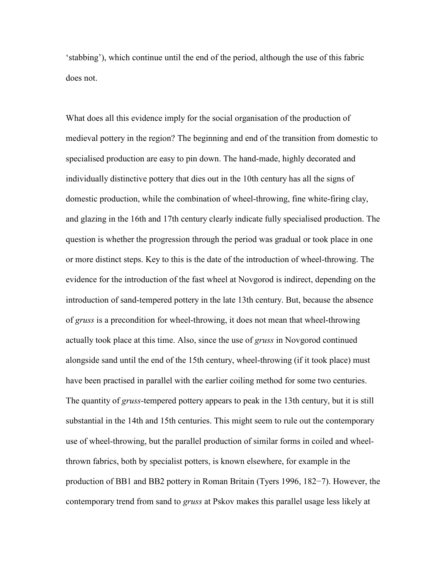'stabbing'), which continue until the end of the period, although the use of this fabric does not.

What does all this evidence imply for the social organisation of the production of medieval pottery in the region? The beginning and end of the transition from domestic to specialised production are easy to pin down. The hand-made, highly decorated and individually distinctive pottery that dies out in the 10th century has all the signs of domestic production, while the combination of wheel-throwing, fine white-firing clay, and glazing in the 16th and 17th century clearly indicate fully specialised production. The question is whether the progression through the period was gradual or took place in one or more distinct steps. Key to this is the date of the introduction of wheel-throwing. The evidence for the introduction of the fast wheel at Novgorod is indirect, depending on the introduction of sand-tempered pottery in the late 13th century. But, because the absence of gruss is a precondition for wheel-throwing, it does not mean that wheel-throwing actually took place at this time. Also, since the use of *gruss* in Novgorod continued alongside sand until the end of the 15th century, wheel-throwing (if it took place) must have been practised in parallel with the earlier coiling method for some two centuries. The quantity of gruss-tempered pottery appears to peak in the 13th century, but it is still substantial in the 14th and 15th centuries. This might seem to rule out the contemporary use of wheel-throwing, but the parallel production of similar forms in coiled and wheelthrown fabrics, both by specialist potters, is known elsewhere, for example in the production of BB1 and BB2 pottery in Roman Britain (Tyers 1996, 182−7). However, the contemporary trend from sand to *gruss* at Pskov makes this parallel usage less likely at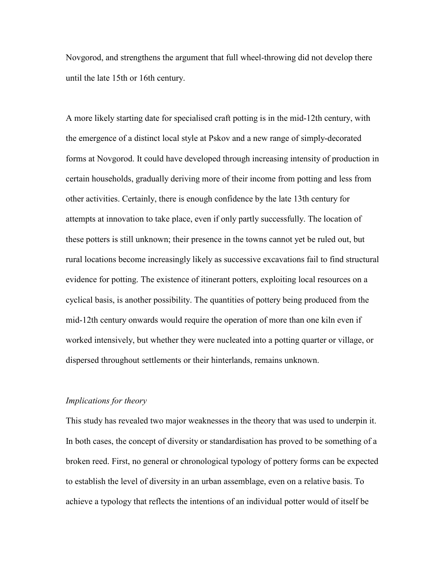Novgorod, and strengthens the argument that full wheel-throwing did not develop there until the late 15th or 16th century.

A more likely starting date for specialised craft potting is in the mid-12th century, with the emergence of a distinct local style at Pskov and a new range of simply-decorated forms at Novgorod. It could have developed through increasing intensity of production in certain households, gradually deriving more of their income from potting and less from other activities. Certainly, there is enough confidence by the late 13th century for attempts at innovation to take place, even if only partly successfully. The location of these potters is still unknown; their presence in the towns cannot yet be ruled out, but rural locations become increasingly likely as successive excavations fail to find structural evidence for potting. The existence of itinerant potters, exploiting local resources on a cyclical basis, is another possibility. The quantities of pottery being produced from the mid-12th century onwards would require the operation of more than one kiln even if worked intensively, but whether they were nucleated into a potting quarter or village, or dispersed throughout settlements or their hinterlands, remains unknown.

# Implications for theory

This study has revealed two major weaknesses in the theory that was used to underpin it. In both cases, the concept of diversity or standardisation has proved to be something of a broken reed. First, no general or chronological typology of pottery forms can be expected to establish the level of diversity in an urban assemblage, even on a relative basis. To achieve a typology that reflects the intentions of an individual potter would of itself be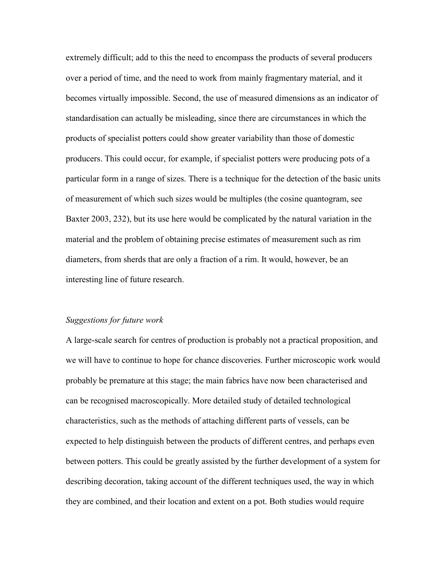extremely difficult; add to this the need to encompass the products of several producers over a period of time, and the need to work from mainly fragmentary material, and it becomes virtually impossible. Second, the use of measured dimensions as an indicator of standardisation can actually be misleading, since there are circumstances in which the products of specialist potters could show greater variability than those of domestic producers. This could occur, for example, if specialist potters were producing pots of a particular form in a range of sizes. There is a technique for the detection of the basic units of measurement of which such sizes would be multiples (the cosine quantogram, see Baxter 2003, 232), but its use here would be complicated by the natural variation in the material and the problem of obtaining precise estimates of measurement such as rim diameters, from sherds that are only a fraction of a rim. It would, however, be an interesting line of future research.

#### Suggestions for future work

A large-scale search for centres of production is probably not a practical proposition, and we will have to continue to hope for chance discoveries. Further microscopic work would probably be premature at this stage; the main fabrics have now been characterised and can be recognised macroscopically. More detailed study of detailed technological characteristics, such as the methods of attaching different parts of vessels, can be expected to help distinguish between the products of different centres, and perhaps even between potters. This could be greatly assisted by the further development of a system for describing decoration, taking account of the different techniques used, the way in which they are combined, and their location and extent on a pot. Both studies would require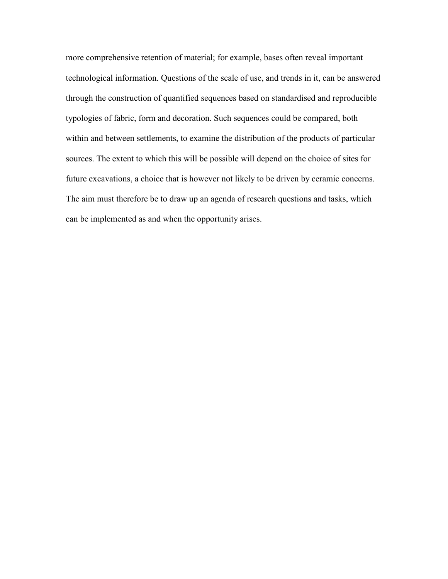more comprehensive retention of material; for example, bases often reveal important technological information. Questions of the scale of use, and trends in it, can be answered through the construction of quantified sequences based on standardised and reproducible typologies of fabric, form and decoration. Such sequences could be compared, both within and between settlements, to examine the distribution of the products of particular sources. The extent to which this will be possible will depend on the choice of sites for future excavations, a choice that is however not likely to be driven by ceramic concerns. The aim must therefore be to draw up an agenda of research questions and tasks, which can be implemented as and when the opportunity arises.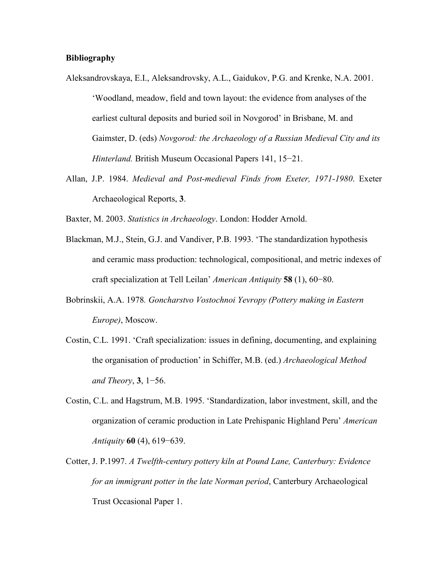## Bibliography

- Aleksandrovskaya, E.I., Aleksandrovsky, A.L., Gaidukov, P.G. and Krenke, N.A. 2001. 'Woodland, meadow, field and town layout: the evidence from analyses of the earliest cultural deposits and buried soil in Novgorod' in Brisbane, M. and Gaimster, D. (eds) Novgorod: the Archaeology of a Russian Medieval City and its Hinterland. British Museum Occasional Papers 141, 15−21.
- Allan, J.P. 1984. Medieval and Post-medieval Finds from Exeter, 1971-1980. Exeter Archaeological Reports, 3.
- Baxter, M. 2003. Statistics in Archaeology. London: Hodder Arnold.
- Blackman, M.J., Stein, G.J. and Vandiver, P.B. 1993. 'The standardization hypothesis and ceramic mass production: technological, compositional, and metric indexes of craft specialization at Tell Leilan' American Antiquity 58 (1), 60−80.
- Bobrinskii, A.A. 1978. Goncharstvo Vostochnoi Yevropy (Pottery making in Eastern Europe), Moscow.
- Costin, C.L. 1991. 'Craft specialization: issues in defining, documenting, and explaining the organisation of production' in Schiffer, M.B. (ed.) Archaeological Method and Theory, 3, 1−56.
- Costin, C.L. and Hagstrum, M.B. 1995. 'Standardization, labor investment, skill, and the organization of ceramic production in Late Prehispanic Highland Peru' American Antiquity 60 (4), 619−639.
- Cotter, J. P.1997. A Twelfth-century pottery kiln at Pound Lane, Canterbury: Evidence for an immigrant potter in the late Norman period, Canterbury Archaeological Trust Occasional Paper 1.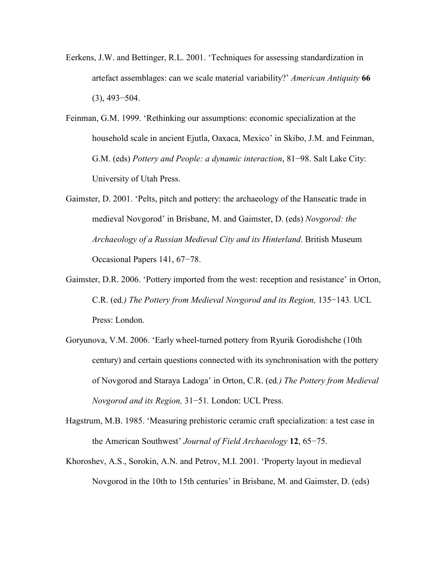- Eerkens, J.W. and Bettinger, R.L. 2001. 'Techniques for assessing standardization in artefact assemblages: can we scale material variability?' American Antiquity 66 (3), 493−504.
- Feinman, G.M. 1999. 'Rethinking our assumptions: economic specialization at the household scale in ancient Ejutla, Oaxaca, Mexico' in Skibo, J.M. and Feinman, G.M. (eds) Pottery and People: a dynamic interaction, 81−98. Salt Lake City: University of Utah Press.
- Gaimster, D. 2001. 'Pelts, pitch and pottery: the archaeology of the Hanseatic trade in medieval Novgorod' in Brisbane, M. and Gaimster, D. (eds) Novgorod: the Archaeology of a Russian Medieval City and its Hinterland. British Museum Occasional Papers 141, 67−78.
- Gaimster, D.R. 2006. 'Pottery imported from the west: reception and resistance' in Orton, C.R. (ed.) The Pottery from Medieval Novgorod and its Region, 135−143. UCL Press: London.
- Goryunova, V.M. 2006. 'Early wheel-turned pottery from Ryurik Gorodishche (10th century) and certain questions connected with its synchronisation with the pottery of Novgorod and Staraya Ladoga' in Orton, C.R. (ed.) The Pottery from Medieval Novgorod and its Region, 31−51. London: UCL Press.
- Hagstrum, M.B. 1985. 'Measuring prehistoric ceramic craft specialization: a test case in the American Southwest' Journal of Field Archaeology 12, 65−75.
- Khoroshev, A.S., Sorokin, A.N. and Petrov, M.I. 2001. 'Property layout in medieval Novgorod in the 10th to 15th centuries' in Brisbane, M. and Gaimster, D. (eds)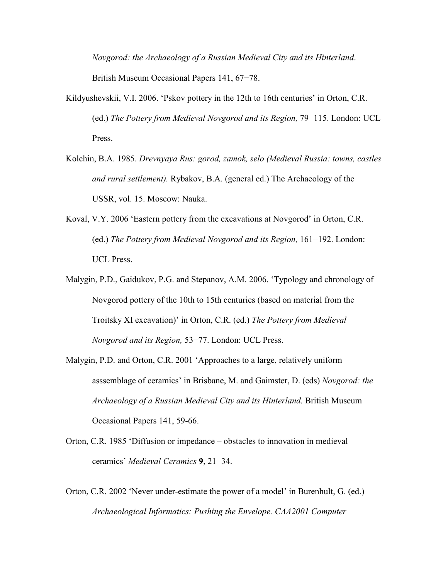Novgorod: the Archaeology of a Russian Medieval City and its Hinterland. British Museum Occasional Papers 141, 67−78.

- Kildyushevskii, V.I. 2006. 'Pskov pottery in the 12th to 16th centuries' in Orton, C.R. (ed.) The Pottery from Medieval Novgorod and its Region, 79−115. London: UCL Press.
- Kolchin, B.A. 1985. Drevnyaya Rus: gorod, zamok, selo (Medieval Russia: towns, castles and rural settlement). Rybakov, B.A. (general ed.) The Archaeology of the USSR, vol. 15. Moscow: Nauka.
- Koval, V.Y. 2006 'Eastern pottery from the excavations at Novgorod' in Orton, C.R. (ed.) The Pottery from Medieval Novgorod and its Region, 161−192. London: UCL Press.
- Malygin, P.D., Gaidukov, P.G. and Stepanov, A.M. 2006. 'Typology and chronology of Novgorod pottery of the 10th to 15th centuries (based on material from the Troitsky XI excavation)' in Orton, C.R. (ed.) The Pottery from Medieval Novgorod and its Region, 53−77. London: UCL Press.
- Malygin, P.D. and Orton, C.R. 2001 'Approaches to a large, relatively uniform asssemblage of ceramics' in Brisbane, M. and Gaimster, D. (eds) Novgorod: the Archaeology of a Russian Medieval City and its Hinterland. British Museum Occasional Papers 141, 59-66.
- Orton, C.R. 1985 'Diffusion or impedance obstacles to innovation in medieval ceramics' Medieval Ceramics 9, 21−34.
- Orton, C.R. 2002 'Never under-estimate the power of a model' in Burenhult, G. (ed.) Archaeological Informatics: Pushing the Envelope. CAA2001 Computer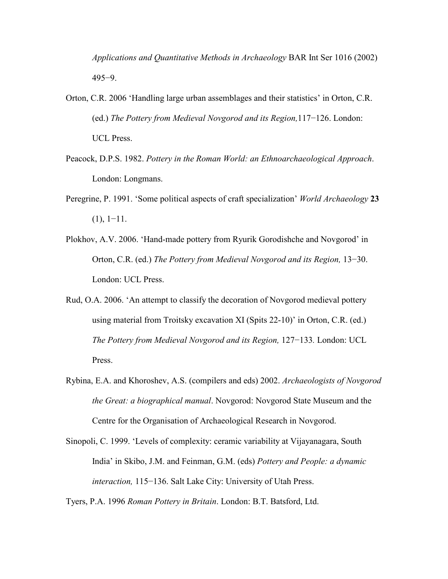Applications and Quantitative Methods in Archaeology BAR Int Ser 1016 (2002) 495−9.

- Orton, C.R. 2006 'Handling large urban assemblages and their statistics' in Orton, C.R. (ed.) The Pottery from Medieval Novgorod and its Region,117−126. London: UCL Press.
- Peacock, D.P.S. 1982. Pottery in the Roman World: an Ethnoarchaeological Approach. London: Longmans.
- Peregrine, P. 1991. 'Some political aspects of craft specialization' *World Archaeology* 23  $(1), 1-11.$
- Plokhov, A.V. 2006. 'Hand-made pottery from Ryurik Gorodishche and Novgorod' in Orton, C.R. (ed.) The Pottery from Medieval Novgorod and its Region, 13−30. London: UCL Press.
- Rud, O.A. 2006. 'An attempt to classify the decoration of Novgorod medieval pottery using material from Troitsky excavation XI (Spits 22-10)' in Orton, C.R. (ed.) The Pottery from Medieval Novgorod and its Region, 127−133. London: UCL Press.
- Rybina, E.A. and Khoroshev, A.S. (compilers and eds) 2002. Archaeologists of Novgorod the Great: a biographical manual. Novgorod: Novgorod State Museum and the Centre for the Organisation of Archaeological Research in Novgorod.
- Sinopoli, C. 1999. 'Levels of complexity: ceramic variability at Vijayanagara, South India' in Skibo, J.M. and Feinman, G.M. (eds) Pottery and People: a dynamic interaction, 115−136. Salt Lake City: University of Utah Press.

Tyers, P.A. 1996 Roman Pottery in Britain. London: B.T. Batsford, Ltd.